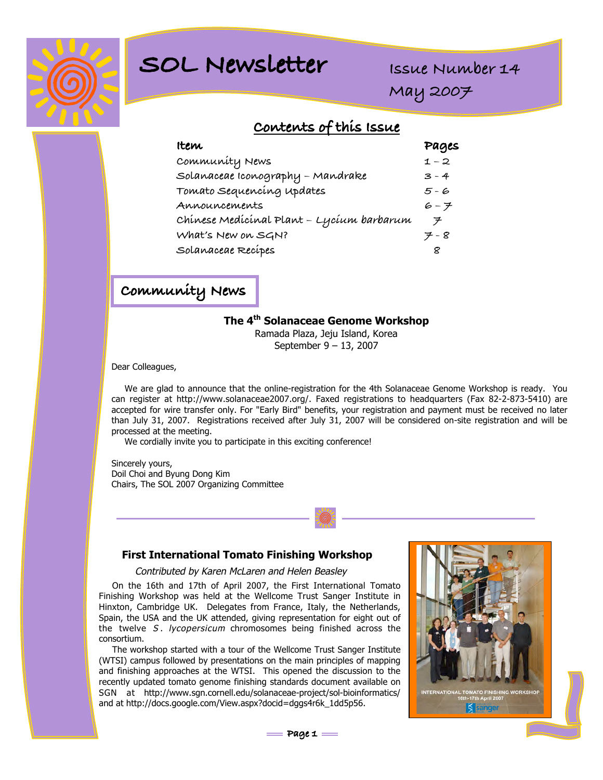

# **SOL Newsletter**

**Issue Number 14**

**May 2007**

## **Contents of this Issue**

| <b>Item</b>                               | Pages   |
|-------------------------------------------|---------|
| Community News                            | $1 - 2$ |
| Solanaceae Iconography – Mandrake         | $3 - 4$ |
| Tomato Sequencing updates                 | 5-6     |
| Announcements                             | 6 - 7   |
| Chínese Medícínal Plant - Lycíum barbarum | ヲ       |
| What's New on SGN?                        | $7 - 8$ |
| Solanaceae Recípes                        |         |

**Community News**

### **The 4th Solanaceae Genome Workshop**

Ramada Plaza, Jeju Island, Korea September 9 – 13, 2007

Dear Colleagues,

We are glad to announce that the online-registration for the 4th Solanaceae Genome Workshop is ready. You can register at http://www.solanaceae2007.org/. Faxed registrations to headquarters (Fax 82-2-873-5410) are accepted for wire transfer only. For "Early Bird" benefits, your registration and payment must be received no later than July 31, 2007. Registrations received after July 31, 2007 will be considered on-site registration and will be processed at the meeting.

We cordially invite you to participate in this exciting conference!

Sincerely yours, Doil Choi and Byung Dong Kim Chairs, The SOL 2007 Organizing Committee

#### **First International Tomato Finishing Workshop**

#### Contributed by Karen McLaren and Helen Beasley

On the 16th and 17th of April 2007, the First International Tomato Finishing Workshop was held at the Wellcome Trust Sanger Institute in Hinxton, Cambridge UK. Delegates from France, Italy, the Netherlands, Spain, the USA and the UK attended, giving representation for eight out of the twelve S. lycopersicum chromosomes being finished across the consortium.

The workshop started with a tour of the Wellcome Trust Sanger Institute (WTSI) campus followed by presentations on the main principles of mapping and finishing approaches at the WTSI. This opened the discussion to the recently updated tomato genome finishing standards document available on SGN at http://www.sgn.cornell.edu/solanaceae-project/sol-bioinformatics/ and at http://docs.google.com/View.aspx?docid=dggs4r6k\_1dd5p56.



**Page 1**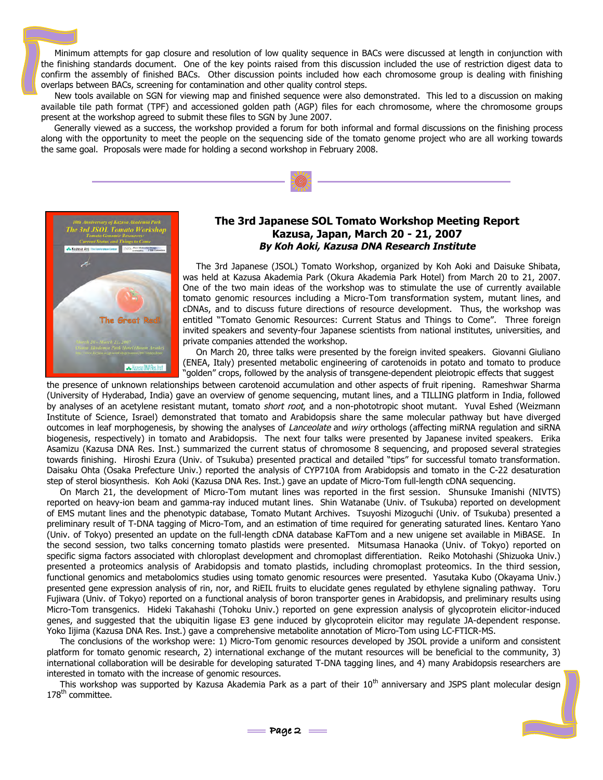Minimum attempts for gap closure and resolution of low quality sequence in BACs were discussed at length in conjunction with the finishing standards document. One of the key points raised from this discussion included the use of restriction digest data to confirm the assembly of finished BACs. Other discussion points included how each chromosome group is dealing with finishing overlaps between BACs, screening for contamination and other quality control steps.

New tools available on SGN for viewing map and finished sequence were also demonstrated. This led to a discussion on making available tile path format (TPF) and accessioned golden path (AGP) files for each chromosome, where the chromosome groups present at the workshop agreed to submit these files to SGN by June 2007.

Generally viewed as a success, the workshop provided a forum for both informal and formal discussions on the finishing process along with the opportunity to meet the people on the sequencing side of the tomato genome project who are all working towards the same goal. Proposals were made for holding a second workshop in February 2008.



#### **The 3rd Japanese SOL Tomato Workshop Meeting Report Kazusa, Japan, March 20 - 21, 2007 By Koh Aoki, Kazusa DNA Research Institute**

The 3rd Japanese (JSOL) Tomato Workshop, organized by Koh Aoki and Daisuke Shibata, was held at Kazusa Akademia Park (Okura Akademia Park Hotel) from March 20 to 21, 2007. One of the two main ideas of the workshop was to stimulate the use of currently available tomato genomic resources including a Micro-Tom transformation system, mutant lines, and cDNAs, and to discuss future directions of resource development. Thus, the workshop was entitled "Tomato Genomic Resources: Current Status and Things to Come". Three foreign invited speakers and seventy-four Japanese scientists from national institutes, universities, and private companies attended the workshop.

On March 20, three talks were presented by the foreign invited speakers. Giovanni Giuliano (ENEA, Italy) presented metabolic engineering of carotenoids in potato and tomato to produce "golden" crops, followed by the analysis of transgene-dependent pleiotropic effects that suggest

the presence of unknown relationships between carotenoid accumulation and other aspects of fruit ripening. Rameshwar Sharma (University of Hyderabad, India) gave an overview of genome sequencing, mutant lines, and a TILLING platform in India, followed by analyses of an acetylene resistant mutant, tomato short root, and a non-phototropic shoot mutant. Yuval Eshed (Weizmann Institute of Science, Israel) demonstrated that tomato and Arabidopsis share the same molecular pathway but have diverged outcomes in leaf morphogenesis, by showing the analyses of Lanceolate and wiry orthologs (affecting miRNA regulation and siRNA biogenesis, respectively) in tomato and Arabidopsis. The next four talks were presented by Japanese invited speakers. Erika Asamizu (Kazusa DNA Res. Inst.) summarized the current status of chromosome 8 sequencing, and proposed several strategies towards finishing. Hiroshi Ezura (Univ. of Tsukuba) presented practical and detailed "tips" for successful tomato transformation. Daisaku Ohta (Osaka Prefecture Univ.) reported the analysis of CYP710A from Arabidopsis and tomato in the C-22 desaturation step of sterol biosynthesis. Koh Aoki (Kazusa DNA Res. Inst.) gave an update of Micro-Tom full-length cDNA sequencing.

On March 21, the development of Micro-Tom mutant lines was reported in the first session. Shunsuke Imanishi (NIVTS) reported on heavy-ion beam and gamma-ray induced mutant lines. Shin Watanabe (Univ. of Tsukuba) reported on development of EMS mutant lines and the phenotypic database, Tomato Mutant Archives. Tsuyoshi Mizoguchi (Univ. of Tsukuba) presented a preliminary result of T-DNA tagging of Micro-Tom, and an estimation of time required for generating saturated lines. Kentaro Yano (Univ. of Tokyo) presented an update on the full-length cDNA database KaFTom and a new unigene set available in MiBASE. In the second session, two talks concerning tomato plastids were presented. Mitsumasa Hanaoka (Univ. of Tokyo) reported on specific sigma factors associated with chloroplast development and chromoplast differentiation. Reiko Motohashi (Shizuoka Univ.) presented a proteomics analysis of Arabidopsis and tomato plastids, including chromoplast proteomics. In the third session, functional genomics and metabolomics studies using tomato genomic resources were presented. Yasutaka Kubo (Okayama Univ.) presented gene expression analysis of rin, nor, and RiEIL fruits to elucidate genes regulated by ethylene signaling pathway. Toru Fujiwara (Univ. of Tokyo) reported on a functional analysis of boron transporter genes in Arabidopsis, and preliminary results using Micro-Tom transgenics. Hideki Takahashi (Tohoku Univ.) reported on gene expression analysis of glycoprotein elicitor-induced genes, and suggested that the ubiquitin ligase E3 gene induced by glycoprotein elicitor may regulate JA-dependent response. Yoko Iijima (Kazusa DNA Res. Inst.) gave a comprehensive metabolite annotation of Micro-Tom using LC-FTICR-MS.

The conclusions of the workshop were: 1) Micro-Tom genomic resources developed by JSOL provide a uniform and consistent platform for tomato genomic research, 2) international exchange of the mutant resources will be beneficial to the community, 3) international collaboration will be desirable for developing saturated T-DNA tagging lines, and 4) many Arabidopsis researchers are interested in tomato with the increase of genomic resources.

This workshop was supported by Kazusa Akademia Park as a part of their  $10^{th}$  anniversary and JSPS plant molecular design 178<sup>th</sup> committee.

 $Page 2 =$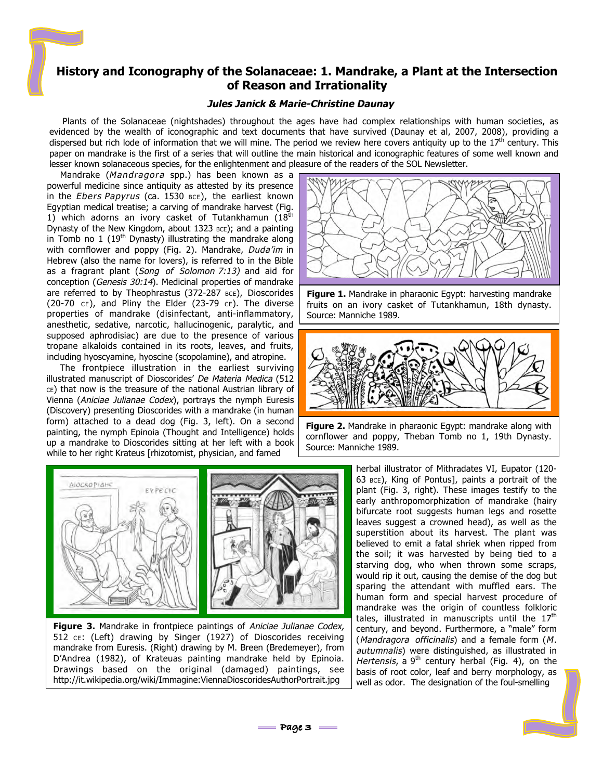### **History and Iconography of the Solanaceae: 1. Mandrake, a Plant at the Intersection of Reason and Irrationality**

#### **Jules Janick & Marie-Christine Daunay**

Plants of the Solanaceae (nightshades) throughout the ages have had complex relationships with human societies, as evidenced by the wealth of iconographic and text documents that have survived (Daunay et al, 2007, 2008), providing a dispersed but rich lode of information that we will mine. The period we review here covers antiquity up to the  $17<sup>th</sup>$  century. This paper on mandrake is the first of a series that will outline the main historical and iconographic features of some well known and lesser known solanaceous species, for the enlightenment and pleasure of the readers of the SOL Newsletter.

Mandrake (Mandragora spp.) has been known as a powerful medicine since antiquity as attested by its presence in the Ebers Papyrus (ca. 1530  $BCE$ ), the earliest known Egyptian medical treatise; a carving of mandrake harvest (Fig. 1) which adorns an ivory casket of Tutankhamun  $(18<sup>th</sup>$ Dynasty of the New Kingdom, about 1323 BCE); and a painting in Tomb no 1 ( $19<sup>th</sup>$  Dynasty) illustrating the mandrake along with cornflower and poppy (Fig. 2). Mandrake, Duda'im in Hebrew (also the name for lovers), is referred to in the Bible as a fragrant plant (Song of Solomon 7:13) and aid for conception (Genesis 30:14). Medicinal properties of mandrake are referred to by Theophrastus (372-287 BCE), Dioscorides (20-70  $CE$ ), and Pliny the Elder (23-79  $CE$ ). The diverse properties of mandrake (disinfectant, anti-inflammatory, anesthetic, sedative, narcotic, hallucinogenic, paralytic, and supposed aphrodisiac) are due to the presence of various tropane alkaloids contained in its roots, leaves, and fruits, including hyoscyamine, hyoscine (scopolamine), and atropine.

The frontpiece illustration in the earliest surviving illustrated manuscript of Dioscorides' De Materia Medica (512 CE) that now is the treasure of the national Austrian library of Vienna (Aniciae Julianae Codex), portrays the nymph Euresis (Discovery) presenting Dioscorides with a mandrake (in human form) attached to a dead dog (Fig. 3, left). On a second painting, the nymph Epinoia (Thought and Intelligence) holds up a mandrake to Dioscorides sitting at her left with a book while to her right Krateus [rhizotomist, physician, and famed



**Figure 1.** Mandrake in pharaonic Egypt: harvesting mandrake fruits on an ivory casket of Tutankhamun, 18th dynasty. Source: Manniche 1989.



**Figure 2.** Mandrake in pharaonic Egypt: mandrake along with cornflower and poppy, Theban Tomb no 1, 19th Dynasty. Source: Manniche 1989.



**Figure 3.** Mandrake in frontpiece paintings of Aniciae Julianae Codex, 512 CE: (Left) drawing by Singer (1927) of Dioscorides receiving mandrake from Euresis. (Right) drawing by M. Breen (Bredemeyer), from D'Andrea (1982), of Krateuas painting mandrake held by Epinoia. Drawings based on the original (damaged) paintings, see http://it.wikipedia.org/wiki/Immagine:ViennaDioscoridesAuthorPortrait.jpg

.

herbal illustrator of Mithradates VI, Eupator (120- 63 BCE), King of Pontus], paints a portrait of the plant (Fig. 3, right). These images testify to the early anthropomorphization of mandrake (hairy bifurcate root suggests human legs and rosette leaves suggest a crowned head), as well as the superstition about its harvest. The plant was believed to emit a fatal shriek when ripped from the soil; it was harvested by being tied to a starving dog, who when thrown some scraps, would rip it out, causing the demise of the dog but sparing the attendant with muffled ears. The human form and special harvest procedure of mandrake was the origin of countless folkloric tales, illustrated in manuscripts until the  $17<sup>th</sup>$ century, and beyond. Furthermore, a "male" form (Mandragora officinalis) and a female form (M. autumnalis) were distinguished, as illustrated in Hertensis, a  $9<sup>th</sup>$  century herbal (Fig. 4), on the basis of root color, leaf and berry morphology, as well as odor. The designation of the foul-smelling

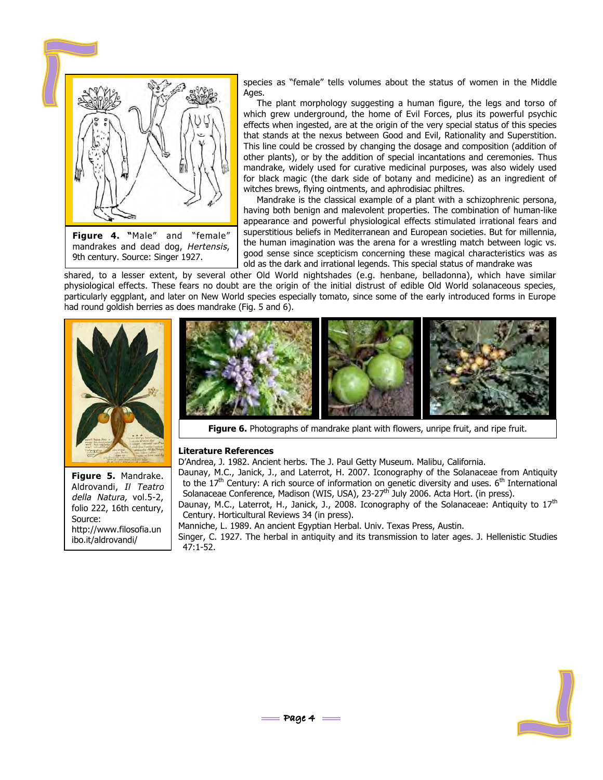

mandrakes and dead dog, Hertensis, 9th century. Source: Singer 1927.

species as "female" tells volumes about the status of women in the Middle Ages.

The plant morphology suggesting a human figure, the legs and torso of which grew underground, the home of Evil Forces, plus its powerful psychic effects when ingested, are at the origin of the very special status of this species that stands at the nexus between Good and Evil, Rationality and Superstition. This line could be crossed by changing the dosage and composition (addition of other plants), or by the addition of special incantations and ceremonies. Thus mandrake, widely used for curative medicinal purposes, was also widely used for black magic (the dark side of botany and medicine) as an ingredient of witches brews, flying ointments, and aphrodisiac philtres.

Mandrake is the classical example of a plant with a schizophrenic persona, having both benign and malevolent properties. The combination of human-like appearance and powerful physiological effects stimulated irrational fears and superstitious beliefs in Mediterranean and European societies. But for millennia, the human imagination was the arena for a wrestling match between logic vs. good sense since scepticism concerning these magical characteristics was as old as the dark and irrational legends. This special status of mandrake was

shared, to a lesser extent, by several other Old World nightshades (e.g. henbane, belladonna), which have similar physiological effects. These fears no doubt are the origin of the initial distrust of edible Old World solanaceous species, particularly eggplant, and later on New World species especially tomato, since some of the early introduced forms in Europe had round goldish berries as does mandrake (Fig. 5 and 6).





**Figure 6.** Photographs of mandrake plant with flowers, unripe fruit, and ripe fruit.

#### **Literature References**

D'Andrea, J. 1982. Ancient herbs. The J. Paul Getty Museum. Malibu, California.

Daunay, M.C., Janick, J., and Laterrot, H. 2007. Iconography of the Solanaceae from Antiquity to the  $17<sup>th</sup>$  Century: A rich source of information on genetic diversity and uses.  $6<sup>th</sup>$  International Solanaceae Conference, Madison (WIS, USA), 23-27<sup>th</sup> July 2006. Acta Hort. (in press).

Daunay, M.C., Laterrot, H., Janick, J., 2008. Iconography of the Solanaceae: Antiquity to 17<sup>th</sup> Century. Horticultural Reviews 34 (in press).

Manniche, L. 1989. An ancient Egyptian Herbal. Univ. Texas Press, Austin.

Singer, C. 1927. The herbal in antiquity and its transmission to later ages. J. Hellenistic Studies 47:1-52.



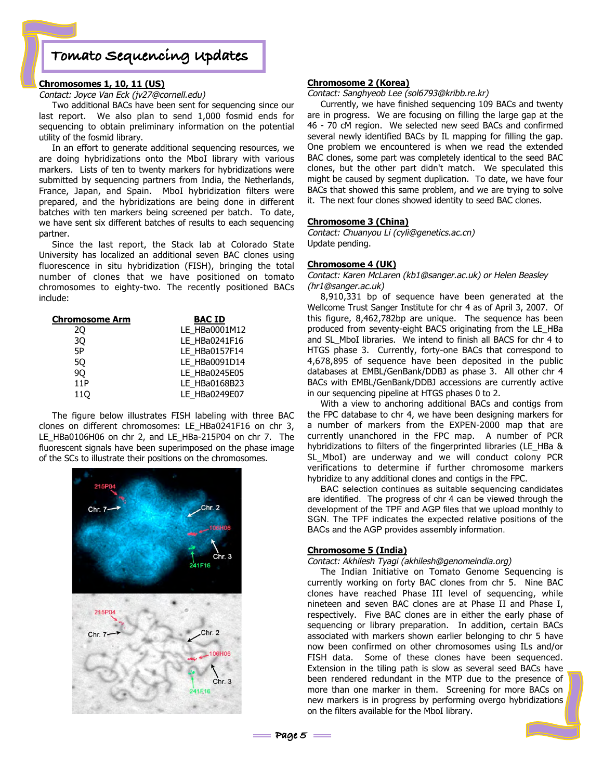## **Tomato Sequencing Updates**

#### **Chromosomes 1, 10, 11 (US)**

Contact: Joyce Van Eck (jv27@cornell.edu)

Two additional BACs have been sent for sequencing since our last report. We also plan to send 1,000 fosmid ends for sequencing to obtain preliminary information on the potential utility of the fosmid library.

In an effort to generate additional sequencing resources, we are doing hybridizations onto the MboI library with various markers. Lists of ten to twenty markers for hybridizations were submitted by sequencing partners from India, the Netherlands, France, Japan, and Spain. MboI hybridization filters were prepared, and the hybridizations are being done in different batches with ten markers being screened per batch. To date, we have sent six different batches of results to each sequencing partner.

Since the last report, the Stack lab at Colorado State University has localized an additional seven BAC clones using fluorescence in situ hybridization (FISH), bringing the total number of clones that we have positioned on tomato chromosomes to eighty-two. The recently positioned BACs include:

| <b>BAC ID</b> |  |  |  |
|---------------|--|--|--|
| LE_HBa0001M12 |  |  |  |
| LE_HBa0241F16 |  |  |  |
| LE_HBa0157F14 |  |  |  |
| LE_HBa0091D14 |  |  |  |
| LE HBa0245E05 |  |  |  |
| LE HBa0168B23 |  |  |  |
| LE_HBa0249E07 |  |  |  |
|               |  |  |  |

The figure below illustrates FISH labeling with three BAC clones on different chromosomes: LE\_HBa0241F16 on chr 3, LE\_HBa0106H06 on chr 2, and LE\_HBa-215P04 on chr 7. The fluorescent signals have been superimposed on the phase image of the SCs to illustrate their positions on the chromosomes.



#### **Chromosome 2 (Korea)**

Contact: Sanghyeob Lee (sol6793@kribb.re.kr)

Currently, we have finished sequencing 109 BACs and twenty are in progress. We are focusing on filling the large gap at the 46 - 70 cM region. We selected new seed BACs and confirmed several newly identified BACs by IL mapping for filling the gap. One problem we encountered is when we read the extended BAC clones, some part was completely identical to the seed BAC clones, but the other part didn't match. We speculated this might be caused by segment duplication. To date, we have four BACs that showed this same problem, and we are trying to solve it. The next four clones showed identity to seed BAC clones.

#### **Chromosome 3 (China)**

Contact: Chuanyou Li (cyli@genetics.ac.cn) Update pending.

#### **Chromosome 4 (UK)**

Contact: Karen McLaren (kb1@sanger.ac.uk) or Helen Beasley (hr1@sanger.ac.uk)

8,910,331 bp of sequence have been generated at the Wellcome Trust Sanger Institute for chr 4 as of April 3, 2007. Of this figure, 8,462,782bp are unique. The sequence has been produced from seventy-eight BACS originating from the LE\_HBa and SL\_MboI libraries. We intend to finish all BACS for chr 4 to HTGS phase 3. Currently, forty-one BACs that correspond to 4,678,895 of sequence have been deposited in the public databases at EMBL/GenBank/DDBJ as phase 3. All other chr 4 BACs with EMBL/GenBank/DDBJ accessions are currently active in our sequencing pipeline at HTGS phases 0 to 2.

With a view to anchoring additional BACs and contigs from the FPC database to chr 4, we have been designing markers for a number of markers from the EXPEN-2000 map that are currently unanchored in the FPC map. A number of PCR hybridizations to filters of the fingerprinted libraries (LE\_HBa & SL MboI) are underway and we will conduct colony PCR verifications to determine if further chromosome markers hybridize to any additional clones and contigs in the FPC.

BAC selection continues as suitable sequencing candidates are identified. The progress of chr 4 can be viewed through the development of the TPF and AGP files that we upload monthly to SGN. The TPF indicates the expected relative positions of the BACs and the AGP provides assembly information.

#### **Chromosome 5 (India)**

#### Contact: Akhilesh Tyagi (akhilesh@genomeindia.org)

The Indian Initiative on Tomato Genome Sequencing is currently working on forty BAC clones from chr 5. Nine BAC clones have reached Phase III level of sequencing, while nineteen and seven BAC clones are at Phase II and Phase I, respectively. Five BAC clones are in either the early phase of sequencing or library preparation. In addition, certain BACs associated with markers shown earlier belonging to chr 5 have now been confirmed on other chromosomes using ILs and/or FISH data. Some of these clones have been sequenced. Extension in the tiling path is slow as several seed BACs have been rendered redundant in the MTP due to the presence of more than one marker in them. Screening for more BACs on new markers is in progress by performing overgo hybridizations on the filters available for the MboI library.

**Page 5**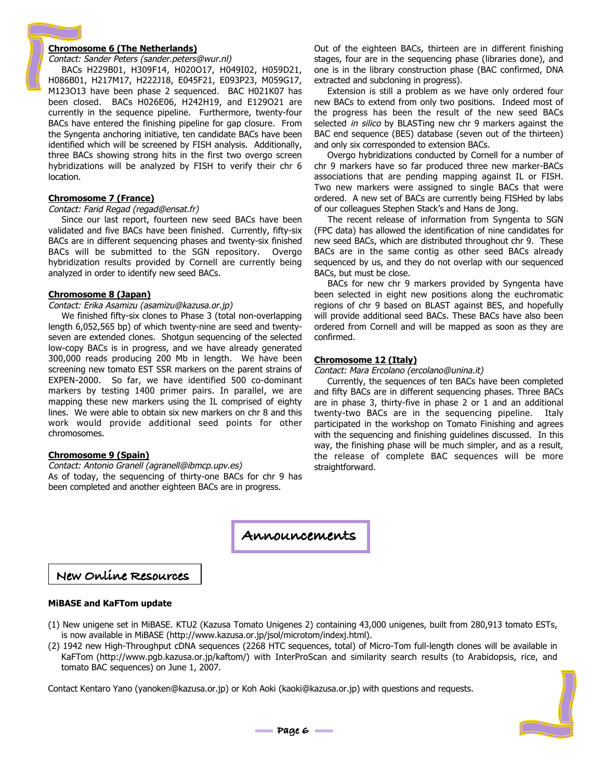#### **Chromosome 6 (The Netherlands)**

Contact: Sander Peters (sander.peters@wur.nl)

BACs H229B01, H309F14, H020O17, H049I02, H059D21, H086B01, H217M17, H222J18, E045F21, E093P23, M059G17, M123O13 have been phase 2 sequenced. BAC H021K07 has been closed. BACs H026E06, H242H19, and E129O21 are currently in the sequence pipeline. Furthermore, twenty-four BACs have entered the finishing pipeline for gap closure. From the Syngenta anchoring initiative, ten candidate BACs have been identified which will be screened by FISH analysis. Additionally, three BACs showing strong hits in the first two overgo screen hybridizations will be analyzed by FISH to verify their chr 6 location.

#### **Chromosome 7 (France)**

#### Contact: Farid Regad (regad@ensat.fr)

Since our last report, fourteen new seed BACs have been validated and five BACs have been finished. Currently, fifty-six BACs are in different sequencing phases and twenty-six finished BACs will be submitted to the SGN repository. Overgo hybridization results provided by Cornell are currently being analyzed in order to identify new seed BACs.

#### **Chromosome 8 (Japan)**

#### Contact: Erika Asamizu (asamizu@kazusa.or.jp)

We finished fifty-six clones to Phase 3 (total non-overlapping length 6,052,565 bp) of which twenty-nine are seed and twentyseven are extended clones. Shotgun sequencing of the selected low-copy BACs is in progress, and we have already generated 300,000 reads producing 200 Mb in length. We have been screening new tomato EST SSR markers on the parent strains of EXPEN-2000. So far, we have identified 500 co-dominant markers by testing 1400 primer pairs. In parallel, we are mapping these new markers using the IL comprised of eighty lines. We were able to obtain six new markers on chr 8 and this work would provide additional seed points for other chromosomes.

#### **Chromosome 9 (Spain)**

Contact: Antonio Granell (agranell@ibmcp.upv.es) As of today, the sequencing of thirty-one BACs for chr 9 has been completed and another eighteen BACs are in progress.

Out of the eighteen BACs, thirteen are in different finishing stages, four are in the sequencing phase (libraries done), and one is in the library construction phase (BAC confirmed, DNA extracted and subcloning in progress).

Extension is still a problem as we have only ordered four new BACs to extend from only two positions. Indeed most of the progress has been the result of the new seed BACs selected in silico by BLASTing new chr 9 markers against the BAC end sequence (BES) database (seven out of the thirteen) and only six corresponded to extension BACs.

Overgo hybridizations conducted by Cornell for a number of chr 9 markers have so far produced three new marker-BACs associations that are pending mapping against IL or FISH. Two new markers were assigned to single BACs that were ordered. A new set of BACs are currently being FISHed by labs of our colleagues Stephen Stack's and Hans de Jong.

The recent release of information from Syngenta to SGN (FPC data) has allowed the identification of nine candidates for new seed BACs, which are distributed throughout chr 9. These BACs are in the same contig as other seed BACs already sequenced by us, and they do not overlap with our sequenced BACs, but must be close.

BACs for new chr 9 markers provided by Syngenta have been selected in eight new positions along the euchromatic regions of chr 9 based on BLAST against BES, and hopefully will provide additional seed BACs. These BACs have also been ordered from Cornell and will be mapped as soon as they are confirmed.

#### **Chromosome 12 (Italy)**

#### Contact: Mara Ercolano (ercolano@unina.it)

Currently, the sequences of ten BACs have been completed and fifty BACs are in different sequencing phases. Three BACs are in phase 3, thirty-five in phase 2 or 1 and an additional twenty-two BACs are in the sequencing pipeline. Italy participated in the workshop on Tomato Finishing and agrees with the sequencing and finishing guidelines discussed. In this way, the finishing phase will be much simpler, and as a result, the release of complete BAC sequences will be more straightforward.

**Announcements**

#### **New Online Resources**

#### **MiBASE and KaFTom update**

- (1) New unigene set in MiBASE. KTU2 (Kazusa Tomato Unigenes 2) containing 43,000 unigenes, built from 280,913 tomato ESTs, is now available in MiBASE (http://www.kazusa.or.jp/jsol/microtom/indexj.html).
- (2) 1942 new High-Throughput cDNA sequences (2268 HTC sequences, total) of Micro-Tom full-length clones will be available in KaFTom (http://www.pgb.kazusa.or.jp/kaftom/) with InterProScan and similarity search results (to Arabidopsis, rice, and tomato BAC sequences) on June 1, 2007.

Contact Kentaro Yano (yanoken@kazusa.or.jp) or Koh Aoki (kaoki@kazusa.or.jp) with questions and requests.

 $=$ Page 6  $=$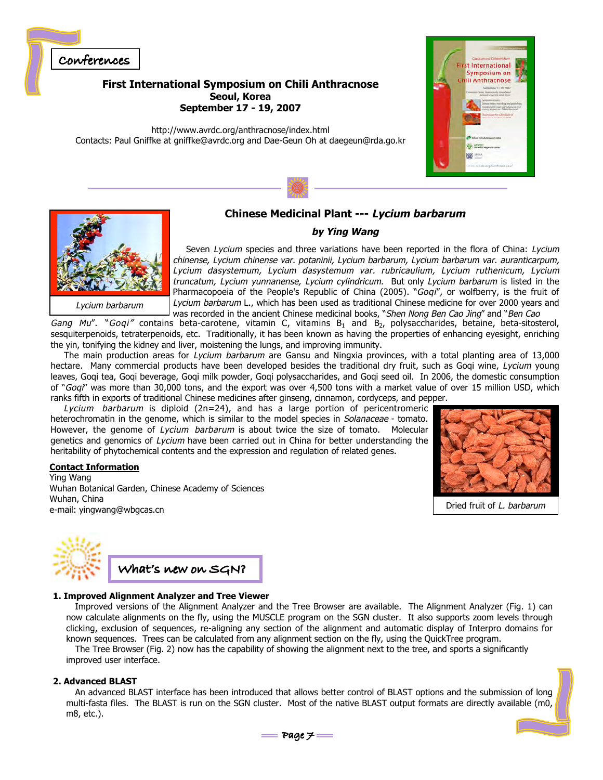

**First International Symposium on Chili Anthracnose Seoul, Korea September 17 - 19, 2007**

http://www.avrdc.org/anthracnose/index.html Contacts: Paul Gniffke at gniffke@avrdc.org and Dae-Geun Oh at daegeun@rda.go.kr





Lycium barbarum

### **Chinese Medicinal Plant --- Lycium barbarum**

#### **by Ying Wang**

Seven Lycium species and three variations have been reported in the flora of China: Lycium chinense, Lycium chinense var. potaninii, Lycium barbarum, Lycium barbarum var. auranticarpum, Lycium dasystemum, Lycium dasystemum var. rubricaulium, Lycium ruthenicum, Lycium truncatum, Lycium yunnanense, Lycium cylindricum. But only Lycium barbarum is listed in the Pharmacopoeia of the People's Republic of China (2005). "Goqi", or wolfberry, is the fruit of Lycium barbarum L., which has been used as traditional Chinese medicine for over 2000 years and was recorded in the ancient Chinese medicinal books, "Shen Nong Ben Cao Jing" and "Ben Cao

Gang Mu". "Goqi" contains beta-carotene, vitamin C, vitamins B<sub>1</sub> and B<sub>2</sub>, polysaccharides, betaine, beta-sitosterol, sesquiterpenoids, tetraterpenoids, etc. Traditionally, it has been known as having the properties of enhancing eyesight, enriching the yin, tonifying the kidney and liver, moistening the lungs, and improving immunity.

The main production areas for Lycium barbarum are Gansu and Ningxia provinces, with a total planting area of 13,000 hectare. Many commercial products have been developed besides the traditional dry fruit, such as Goqi wine, Lycium young leaves, Goqi tea, Goqi beverage, Goqi milk powder, Goqi polysaccharides, and Goqi seed oil. In 2006, the domestic consumption of "Goqi" was more than 30,000 tons, and the export was over 4,500 tons with a market value of over 15 million USD, which ranks fifth in exports of traditional Chinese medicines after ginseng, cinnamon, cordyceps, and pepper.

Lycium barbarum is diploid  $(2n=24)$ , and has a large portion of pericentromeric heterochromatin in the genome, which is similar to the model species in Solanaceae - tomato. However, the genome of Lycium barbarum is about twice the size of tomato. Molecular genetics and genomics of Lycium have been carried out in China for better understanding the heritability of phytochemical contents and the expression and regulation of related genes.

#### **Contact Information**

Ying Wang Wuhan Botanical Garden, Chinese Academy of Sciences Wuhan, China e-mail: yingwang@wbgcas.cn



Dried fruit of L. barbarum



#### **1. Improved Alignment Analyzer and Tree Viewer**

Improved versions of the Alignment Analyzer and the Tree Browser are available. The Alignment Analyzer (Fig. 1) can now calculate alignments on the fly, using the MUSCLE program on the SGN cluster. It also supports zoom levels through clicking, exclusion of sequences, re-aligning any section of the alignment and automatic display of Interpro domains for known sequences. Trees can be calculated from any alignment section on the fly, using the QuickTree program.

The Tree Browser (Fig. 2) now has the capability of showing the alignment next to the tree, and sports a significantly improved user interface.

#### **2. Advanced BLAST**

An advanced BLAST interface has been introduced that allows better control of BLAST options and the submission of long multi-fasta files. The BLAST is run on the SGN cluster. Most of the native BLAST output formats are directly available (m0, m8, etc.).